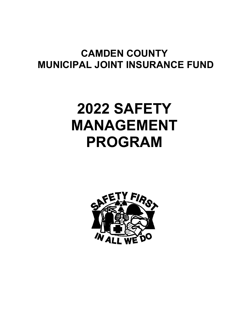# **CAMDEN COUNTY MUNICIPAL JOINT INSURANCE FUND**

# **2022 SAFETY MANAGEMENT PROGRAM**

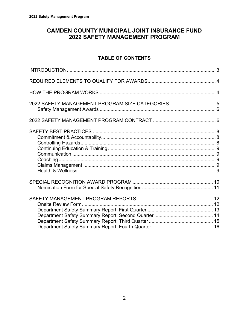# **CAMDEN COUNTY MUNICIPAL JOINT INSURANCE FUND 2022 SAFETY MANAGEMENT PROGRAM**

# **TABLE OF CONTENTS**

| 2022 SAFETY MANAGEMENT PROGRAM SIZE CATEGORIES5 |  |
|-------------------------------------------------|--|
|                                                 |  |
|                                                 |  |
|                                                 |  |
|                                                 |  |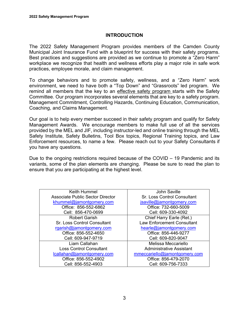# **INTRODUCTION**

The 2022 Safety Management Program provides members of the Camden County Municipal Joint Insurance Fund with a blueprint for success with their safety programs. Best practices and suggestions are provided as we continue to promote a "Zero Harm" workplace we recognize that health and wellness efforts play a major role in safe work practices, employee morale, and claim management.

To change behaviors and to promote safety, wellness, and a "Zero Harm" work environment, we need to have both a "Top Down" and "Grassroots" led program. We remind all members that the key to an effective safety program starts with the Safety Committee. Our program incorporates several elements that are key to a safety program. Management Commitment, Controlling Hazards, Continuing Education, Communication, Coaching, and Claims Management.

Our goal is to help every member succeed in their safety program and qualify for Safety Management Awards. We encourage members to make full use of all the services provided by the MEL and JIF, including instructor-led and online training through the MEL Safety Institute, Safety Bulletins, Tool Box topics, Regional Training topics, and Law Enforcement resources, to name a few. Please reach out to your Safety Consultants if you have any questions.

Due to the ongoing restrictions required because of the COVID – 19 Pandemic and its variants, some of the plan elements are changing. Please be sure to read the plan to ensure that you are participating at the highest level.

| Keith Hummel                                                | John Saville                       |
|-------------------------------------------------------------|------------------------------------|
| <b>Associate Public Sector Director</b>                     | <b>Sr. Loss Control Consultant</b> |
| khummel@jamontqomery.com                                    | jsaville@jamontgomery.com          |
| Office: 856-552-6862                                        | Office: 732-660-5009               |
| Cell: 856-470-0699                                          | Cell: 609-330-4092                 |
| <b>Robert Garish</b>                                        | Chief Harry Earle (Ret.)           |
| <b>Sr. Loss Control Consultant</b>                          | <b>Law Enforcement Consultant</b>  |
| rgarish@jamontgomery.com<br>hearle@jamontgomery.com         |                                    |
| Office: 856-552-4650                                        | Office: 856-446-9277               |
| Cell: 609-947-9719                                          | Cell: 609-820-9047                 |
| Liam Callahan                                               | Melissa Meccariello                |
| <b>Loss Control Consultant</b><br>Administrative Assistant  |                                    |
| mmeccariello@jamontgomery.com<br>lcallahan@jamontgomery.com |                                    |
| Office: 856-552-4902                                        | Office: 856-479-2070               |
| Cell: 856-552-4903                                          | Cell: 609-756-7333                 |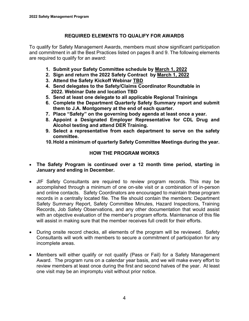# **REQUIRED ELEMENTS TO QUALIFY FOR AWARDS**

To qualify for Safety Management Awards, members must show significant participation and commitment in all the Best Practices listed on pages 8 and 9. The following elements are required to qualify for an award:

- **1. Submit your Safety Committee schedule by March 1, 2022**
- **2. Sign and return the 2022 Safety Contract by March 1, 2022**
- **3. Attend the Safety Kickoff Webinar TBD**
- **4. Send delegates to the Safety/Claims Coordinator Roundtable in 2022. Webinar Date and location TBD**
- **5. Send at least one delegate to all applicable Regional Trainings**
- **6. Complete the Department Quarterly Safety Summary report and submit them to J.A. Montgomery at the end of each quarter.**
- **7. Place "Safety" on the governing body agenda at least once a year.**
- **8. Appoint a Designated Employer Representative for CDL Drug and Alcohol testing and attend DER Training.**
- **9. Select a representative from each department to serve on the safety committee.**
- **10.Hold a minimum of quarterly Safety Committee Meetings during the year.**

# **HOW THE PROGRAM WORKS**

- **The Safety Program is continued over a 12 month time period, starting in January and ending in December.**
- JIF Safety Consultants are required to review program records. This may be accomplished through a minimum of one on-site visit or a combination of in-person and online contacts. Safety Coordinators are encouraged to maintain these program records in a centrally located file. The file should contain the members: Department Safety Summary Report, Safety Committee Minutes, Hazard Inspections, Training Records, Job Safety Observations, and any other documentation that would assist with an objective evaluation of the member's program efforts. Maintenance of this file will assist in making sure that the member receives full credit for their efforts.
- During onsite record checks, all elements of the program will be reviewed. Safety Consultants will work with members to secure a commitment of participation for any incomplete areas.
- Members will either qualify or not qualify (Pass or Fail) for a Safety Management Award. The program runs on a calendar year basis, and we will make every effort to review members at least once during the first and second halves of the year. At least one visit may be an impromptu visit without prior notice.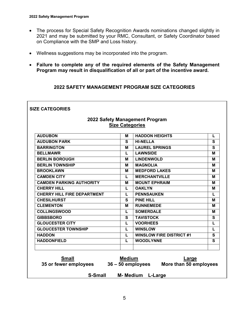$\overline{\phantom{a}}$ 

- The process for Special Safety Recognition Awards nominations changed slightly in 2021 and may be submitted by your RMC, Consultant, or Safety Coordinator based on Compliance with the SMP and Loss history.
- Wellness suggestions may be incorporated into the program.
- **Failure to complete any of the required elements of the Safety Management Program may result in disqualification of all or part of the incentive award.**

# **2022 SAFETY MANAGEMENT PROGRAM SIZE CATEGORIES**

|                                       | <b>Size Categories</b> | 2022 Safety Management Program                       |             |
|---------------------------------------|------------------------|------------------------------------------------------|-------------|
| <b>AUDUBON</b>                        | м                      | <b>HADDON HEIGHTS</b>                                | L           |
| <b>AUDUBON PARK</b>                   | S.                     | <b>HI-NELLA</b>                                      | S           |
| <b>BARRINGTON</b>                     | М                      | <b>LAUREL SPRINGS</b>                                | $\mathbf s$ |
| <b>BELLMAWR</b>                       | L                      | <b>LAWNSIDE</b>                                      | M           |
| <b>BERLIN BOROUGH</b>                 | M                      | <b>LINDENWOLD</b>                                    | М           |
| <b>BERLIN TOWNSHIP</b>                | M                      | <b>MAGNOLIA</b>                                      | М           |
| <b>BROOKLAWN</b>                      | M                      | <b>MEDFORD LAKES</b>                                 | М           |
| <b>CAMDEN CITY</b>                    | L                      | <b>MERCHANTVILLE</b>                                 | М           |
| <b>CAMDEN PARKING AUTHORITY</b>       | M                      | <b>MOUNT EPHRAIM</b>                                 | М           |
| <b>CHERRY HILL</b>                    | L                      | <b>OAKLYN</b>                                        | М           |
| <b>CHERRY HILL FIRE DEPARTMENT</b>    | L                      | <b>PENNSAUKEN</b>                                    | L           |
| <b>CHESILHURST</b>                    | S                      | <b>PINE HILL</b>                                     | M           |
| <b>CLEMENTON</b>                      | M                      | <b>RUNNEMEDE</b>                                     | М           |
| <b>COLLINGSWOOD</b>                   | L                      | <b>SOMERDALE</b>                                     | М           |
| <b>GIBBSBORO</b>                      | $\mathbf{s}$           | <b>TAVISTOCK</b>                                     | $\mathbf s$ |
| <b>GLOUCESTER CITY</b>                | L                      | <b>VOORHEES</b>                                      | L           |
| <b>GLOUCESTER TOWNSHIP</b>            | L                      | <b>WINSLOW</b>                                       | L           |
| <b>HADDON</b>                         | L                      | <b>WINSLOW FIRE DISTRICT #1</b>                      | S           |
| <b>HADDONFIELD</b>                    | L                      | <b>WOODLYNNE</b>                                     | S           |
| <b>Small</b><br>35 or fewer employees | <b>Medium</b>          | Large<br>36 - 50 employees<br>More than 50 employees |             |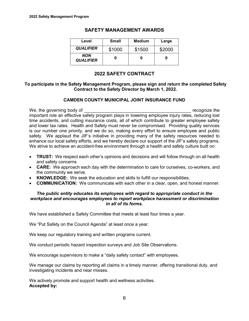| Level                   | <b>Small</b> | <b>Medium</b> | Large  |
|-------------------------|--------------|---------------|--------|
| <b>QUALIFIER</b>        | \$1000       | \$1500        | \$2000 |
| NON<br><b>QUALIFIER</b> |              |               |        |

#### **SAFETY MANAGEMENT AWARDS**

# **2022 SAFETY CONTRACT**

#### **To participate in the Safety Management Program, please sign and return the completed Safety Contract to the Safety Director by March 1, 2022.**

#### **CAMDEN COUNTY MUNICIPAL JOINT INSURANCE FUND**

We, the governing body of the same state of the state of the state of the state of the state of the state of the state of the state of the state of the state of the state of the state of the state of the state of the state important role an effective safety program plays in lowering employee injury rates, reducing lost time accidents, and cutting insurance costs, all of which contribute to greater employee safety and lower tax rates. Health and Safety must never be compromised. Providing quality services is our number one priority, and we do so, making every effort to ensure employee and public safety. We applaud the JIF's initiative in providing many of the safety resources needed to enhance our local safety efforts, and we hereby declare our support of the JIF's safety programs. We strive to achieve an accident-free environment through a health and safety culture built on:

- **TRUST:** We respect each other's opinions and decisions and will follow through on all health and safety concerns
- **CARE:** We approach each day with the determination to care for ourselves, co-workers, and the community we serve.
- **KNOWLEDGE:** We seek the education and skills to fulfill our responsibilities.
- **COMMUNICATION:** We communicate with each other in a clear, open, and honest manner.

#### *The public entity educates its employees with regard to appropriate conduct in the workplace and encourages employees to report workplace harassment or discrimination in all of its forms.*

We have established a Safety Committee that meets at least four times a year.

We "Put Safety on the Council Agenda" at least once a year.

We keep our regulatory training and written programs current.

We conduct periodic hazard inspection surveys and Job Site Observations.

We encourage supervisors to make a "daily safety contact" with employees.

We manage our claims by reporting all claims in a timely manner, offering transitional duty, and investigating incidents and near misses.

We actively promote and support health and wellness activities. **Accepted by:**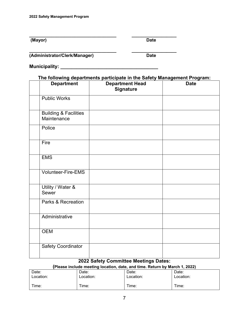**(Mayor)** Date

**\_\_\_\_\_\_\_\_\_\_\_\_\_\_\_\_\_\_\_\_\_\_\_\_\_\_\_\_\_\_\_\_\_\_\_ \_\_\_\_\_\_\_\_\_\_\_\_\_\_\_\_\_\_**

**(Administrator/Clerk/Manager) Date**

**\_\_\_\_\_\_\_\_\_\_\_\_\_\_\_\_\_\_\_\_\_\_\_\_\_\_\_\_\_\_\_\_\_\_\_ \_\_\_\_\_\_\_\_\_\_\_\_\_\_\_\_\_\_**

**Municipality: \_\_\_\_\_\_\_\_\_\_\_\_\_\_\_\_\_\_\_\_\_\_\_\_\_\_\_\_\_\_\_\_\_\_\_\_**

# **The following departments participate in the Safety Management Program:**

| <b>Department</b>                               | <b>Department Head</b><br><b>Signature</b> | <b>Date</b> |
|-------------------------------------------------|--------------------------------------------|-------------|
| <b>Public Works</b>                             |                                            |             |
| <b>Building &amp; Facilities</b><br>Maintenance |                                            |             |
| Police                                          |                                            |             |
| Fire                                            |                                            |             |
| <b>EMS</b>                                      |                                            |             |
| <b>Volunteer-Fire-EMS</b>                       |                                            |             |
| Utility / Water &<br>Sewer                      |                                            |             |
| Parks & Recreation                              |                                            |             |
| Administrative                                  |                                            |             |
| <b>OEM</b>                                      |                                            |             |
| <b>Safety Coordinator</b>                       |                                            |             |

# **2022 Safety Committee Meetings Dates:**

| Date:     | Date:     | Date:     | Date:     |
|-----------|-----------|-----------|-----------|
| Location: | Location: | Location: | Location: |
| Time:     | Time:     | Time:     | Time:     |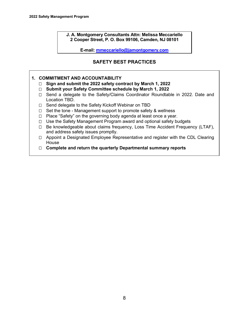**J. A. Montgomery Consultants Attn: Melissa Meccariello 2 Cooper Street, P. O. Box 99106, Camden, NJ 08101** 

**E-mail: mmeccariello@jamontgomery.com**

# **SAFETY BEST PRACTICES**

#### **1. COMMITMENT AND ACCOUNTABILITY**

- **Sign and submit the 2022 safety contract by March 1, 2022**
- **Submit your Safety Committee schedule by March 1, 2022**
- □ Send a delegate to the Safety/Claims Coordinator Roundtable in 2022. Date and Location TBD.
- □ Send delegate to the Safety Kickoff Webinar on TBD
- $\Box$  Set the tone Management support to promote safety & wellness
- $\Box$  Place "Safety" on the governing body agenda at least once a year.
- □ Use the Safety Management Program award and optional safety budgets
- □ Be knowledgeable about claims frequency, Loss Time Accident Frequency (LTAF), and address safety issues promptly.
- $\Box$  Appoint a Designated Employee Representative and register with the CDL Clearing House
- **Complete and return the quarterly Departmental summary reports**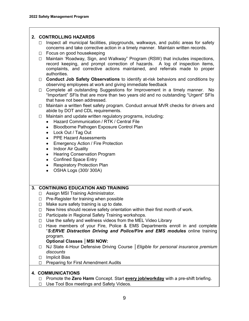#### **2. CONTROLLING HAZARDS**

- $\Box$  Inspect all municipal facilities, playgrounds, walkways, and public areas for safety concerns and take corrective action in a timely manner. Maintain written records.
- □ Focus on good housekeeping
- □ Maintain 'Roadway, Sign, and Walkway" Program (RSW) that includes inspections, record keeping, and prompt correction of hazards. A log of inspection items, complaints, and corrective actions maintained, and referrals made to proper authorities.
- **Conduct Job Safety Observations** to identify at-risk behaviors and conditions by observing employees at work and giving immediate feedback
- □ Complete all outstanding Suggestions for Improvement in a timely manner. No "Important" SFIs that are more than two years old and no outstanding "Urgent" SFIs that have not been addressed.
- □ Maintain a written fleet safety program. Conduct annual MVR checks for drivers and abide by DOT and CDL requirements.
- $\Box$  Maintain and update written regulatory programs, including:
	- Hazard Communication / RTK / Central File
	- Bloodborne Pathogen Exposure Control Plan
	- Lock Out / Tag Out
	- PPE Hazard Assessments
	- Emergency Action / Fire Protection
	- Indoor Air Quality
	- Hearing Conservation Program
	- Confined Space Entry
	- Respiratory Protection Plan
	- OSHA Logs (300/ 300A)

#### **3. CONTINUING EDUCATION AND TRAINING**

- □ Assign MSI Training Administrator.
- $\Box$  Pre-Register for training when possible
- $\Box$  Make sure safety training is up to date.
- $\Box$  New hires should receive safety orientation within their first month of work.
- □ Participate in Regional Safety Training workshops.
- $\Box$  Use the safety and wellness videos from the MEL Video Library
- $\Box$  Have members of your Fire, Police & EMS Departments enroll in and complete "*S:ERVE Distraction Driving and Police/Fire and EMS modules* online training program.

#### **Optional Classes │MSI NOW:**

- NJ State 4-Hour Defensive Driving Course │*Eligible for personal insurance premium discounts*
- □ Implicit Bias
- $\Box$  Preparing for First Amendment Audits

#### **4. COMMUNICATIONS**

- □ Promote the **Zero Harm** Concept. Start **every job/workday** with a pre-shift briefing.
- □ Use Tool Box meetings and Safety Videos.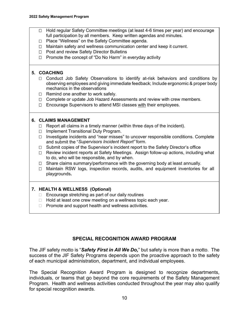- Hold regular Safety Committee meetings (at least 4-6 times per year) and encourage full participation by all members. Keep written agendas and minutes.
- □ Place "Wellness" on the Safety Committee agenda.
- $\Box$  Maintain safety and wellness communication center and keep it current.
- □ Post and review Safety Director Bulletins
- □ Promote the concept of "Do No Harm" in everyday activity

### **5. COACHING**

- □ Conduct Job Safety Observations to identify at-risk behaviors and conditions by observing employees and giving immediate feedback; Include ergonomic & proper body mechanics in the observations
- $\Box$  Remind one another to work safely.
- □ Complete or update Job Hazard Assessments and review with crew members.
- □ Encourage Supervisors to attend MSI classes with their employees.

### **6. CLAIMS MANAGEMENT**

- $\Box$  Report all claims in a timely manner (within three days of the incident).
- □ Implement Transitional Duty Program.
- $\Box$  Investigate incidents and "near misses" to uncover responsible conditions. Complete and submit the "*Supervisors Incident Report"* form.
- □ Submit copies of the Supervisor's incident report to the Safety Director's office
- Review incident reports at Safety Meetings. Assign follow-up actions, including what to do, who will be responsible, and by when.
- $\Box$  Share claims summary/performance with the governing body at least annually.
- □ Maintain RSW logs, inspection records, audits, and equipment inventories for all playgrounds**.**

### **7. HEALTH & WELLNESS (Optional)**

- $\Box$  Encourage stretching as part of our daily routines
- $\Box$  Hold at least one crew meeting on a wellness topic each year.
- $\Box$  Promote and support health and wellness activities.

# **SPECIAL RECOGNITION AWARD PROGRAM**

The JIF safety motto is "*Safety First in All We Do,*" but safety is more than a motto. The success of the JIF Safety Programs depends upon the proactive approach to the safety of each municipal administration, department, and individual employees.

The Special Recognition Award Program is designed to recognize departments, individuals, or teams that go beyond the core requirements of the Safety Management Program. Health and wellness activities conducted throughout the year may also qualify for special recognition awards.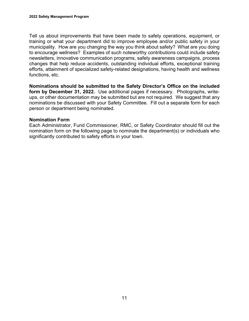Tell us about improvements that have been made to safety operations, equipment, or training or what your department did to improve employee and/or public safety in your municipality. How are you changing the way you think about safety? What are you doing to encourage wellness? Examples of such noteworthy contributions could include safety newsletters, innovative communication programs, safety awareness campaigns, process changes that help reduce accidents, outstanding individual efforts, exceptional training efforts, attainment of specialized safety-related designations, having health and wellness functions, etc.

**Nominations should be submitted to the Safety Director's Office on the included form by December 31, 2022.** Use additional pages if necessary. Photographs, writeups, or other documentation may be submitted but are not required. We suggest that any nominations be discussed with your Safety Committee. Fill out a separate form for each person or department being nominated.

# **Nomination Form**

Each Administrator, Fund Commissioner, RMC, or Safety Coordinator should fill out the nomination form on the following page to nominate the department(s) or individuals who significantly contributed to safety efforts in your town.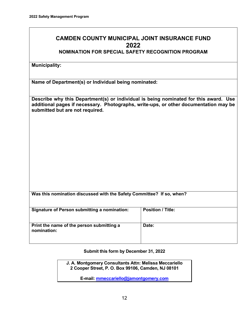# **CAMDEN COUNTY MUNICIPAL JOINT INSURANCE FUND 2022**

# **NOMINATION FOR SPECIAL SAFETY RECOGNITION PROGRAM**

**Municipality:** 

**Name of Department(s) or Individual being nominated:**

**Describe why this Department(s) or individual is being nominated for this award. Use additional pages if necessary. Photographs, write-ups, or other documentation may be submitted but are not required.** 

| Was this nomination discussed with the Safety Committee? If so, when? |  |
|-----------------------------------------------------------------------|--|
|                                                                       |  |

| <b>Signature of Person submitting a nomination:</b>      | <b>Position / Title:</b> |
|----------------------------------------------------------|--------------------------|
| Print the name of the person submitting a<br>nomination: | Date:                    |

**Submit this form by December 31, 2022**

**J. A. Montgomery Consultants Attn: Melissa Meccariello 2 Cooper Street, P. O. Box 99106, Camden, NJ 08101** 

**E-mail: mmeccariello@jamontgomery.com**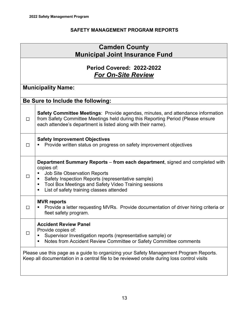# **SAFETY MANAGEMENT PROGRAM REPORTS**

| <b>Camden County</b><br><b>Municipal Joint Insurance Fund</b> |                                                                                                                                                                                                                                                                                                                  |  |  |
|---------------------------------------------------------------|------------------------------------------------------------------------------------------------------------------------------------------------------------------------------------------------------------------------------------------------------------------------------------------------------------------|--|--|
| Period Covered: 2022-2022<br><b>For On-Site Review</b>        |                                                                                                                                                                                                                                                                                                                  |  |  |
|                                                               | <b>Municipality Name:</b>                                                                                                                                                                                                                                                                                        |  |  |
|                                                               | Be Sure to Include the following:                                                                                                                                                                                                                                                                                |  |  |
| $\Box$                                                        | <b>Safety Committee Meetings: Provide agendas, minutes, and attendance information</b><br>from Safety Committee Meetings held during this Reporting Period (Please ensure<br>each attendee's department is listed along with their name).                                                                        |  |  |
| $\Box$                                                        | <b>Safety Improvement Objectives</b><br>Provide written status on progress on safety improvement objectives                                                                                                                                                                                                      |  |  |
| l 1                                                           | <b>Department Summary Reports – from each department, signed and completed with</b><br>copies of:<br><b>Job Site Observation Reports</b><br>Safety Inspection Reports (representative sample)<br>٠<br>Tool Box Meetings and Safety Video Training sessions<br>٠<br>List of safety training classes attended<br>п |  |  |
| П                                                             | <b>MVR</b> reports<br>Provide a letter requesting MVRs. Provide documentation of driver hiring criteria or<br>fleet safety program.                                                                                                                                                                              |  |  |
|                                                               | <b>Accident Review Panel</b><br>Provide copies of:<br>Supervisor Investigation reports (representative sample) or<br>Notes from Accident Review Committee or Safety Committee comments<br>٠                                                                                                                      |  |  |
|                                                               | Please use this page as a guide to organizing your Safety Management Program Reports.<br>Keep all documentation in a central file to be reviewed onsite during loss control visits                                                                                                                               |  |  |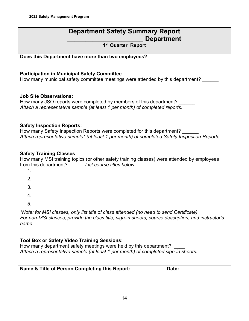| <b>Department Safety Summary Report</b>                                                                                                                                                                       |       |  |  |  |
|---------------------------------------------------------------------------------------------------------------------------------------------------------------------------------------------------------------|-------|--|--|--|
| <b>Department</b>                                                                                                                                                                                             |       |  |  |  |
| 1 <sup>st</sup> Quarter Report                                                                                                                                                                                |       |  |  |  |
| Does this Department have more than two employees?                                                                                                                                                            |       |  |  |  |
| <b>Participation in Municipal Safety Committee</b><br>How many municipal safety committee meetings were attended by this department?                                                                          |       |  |  |  |
| <b>Job Site Observations:</b><br>How many JSO reports were completed by members of this department?<br>Attach a representative sample (at least 1 per month) of completed reports.                            |       |  |  |  |
| <b>Safety Inspection Reports:</b><br>How many Safety Inspection Reports were completed for this department?<br>Attach representative sample* (at least 1 per month) of completed Safety Inspection Reports    |       |  |  |  |
| <b>Safety Training Classes</b><br>How many MSI training topics (or other safety training classes) were attended by employees<br>from this department? List course titles below.<br>1.                         |       |  |  |  |
| 2.                                                                                                                                                                                                            |       |  |  |  |
| 3.<br>4.                                                                                                                                                                                                      |       |  |  |  |
| г,                                                                                                                                                                                                            |       |  |  |  |
| *Note: for MSI classes, only list title of class attended (no need to send Certificate)<br>For non-MSI classes, provide the class title, sign-in sheets, course description, and instructor's<br>name         |       |  |  |  |
| <b>Tool Box or Safety Video Training Sessions:</b><br>How many department safety meetings were held by this department?<br>Attach a representative sample (at least 1 per month) of completed sign-in sheets. |       |  |  |  |
| Name & Title of Person Completing this Report:                                                                                                                                                                | Date: |  |  |  |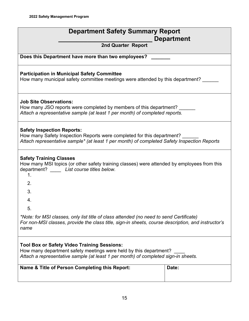| <b>Department Safety Summary Report</b><br><b>Department</b>                                                                                                                                                  |       |  |  |
|---------------------------------------------------------------------------------------------------------------------------------------------------------------------------------------------------------------|-------|--|--|
| 2nd Quarter Report                                                                                                                                                                                            |       |  |  |
| Does this Department have more than two employees?                                                                                                                                                            |       |  |  |
| <b>Participation in Municipal Safety Committee</b><br>How many municipal safety committee meetings were attended by this department?                                                                          |       |  |  |
| <b>Job Site Observations:</b><br>How many JSO reports were completed by members of this department?<br>Attach a representative sample (at least 1 per month) of completed reports.                            |       |  |  |
| <b>Safety Inspection Reports:</b><br>How many Safety Inspection Reports were completed for this department?<br>Attach representative sample* (at least 1 per month) of completed Safety Inspection Reports    |       |  |  |
| <b>Safety Training Classes</b><br>How many MSI topics (or other safety training classes) were attended by employees from this<br>department? __ List course titles below.<br>1.                               |       |  |  |
| 2.                                                                                                                                                                                                            |       |  |  |
| 3.                                                                                                                                                                                                            |       |  |  |
| 4.                                                                                                                                                                                                            |       |  |  |
| 5.                                                                                                                                                                                                            |       |  |  |
| *Note: for MSI classes, only list title of class attended (no need to send Certificate)<br>For non-MSI classes, provide the class title, sign-in sheets, course description, and instructor's<br>name         |       |  |  |
| <b>Tool Box or Safety Video Training Sessions:</b><br>How many department safety meetings were held by this department?<br>Attach a representative sample (at least 1 per month) of completed sign-in sheets. |       |  |  |
| Name & Title of Person Completing this Report:                                                                                                                                                                | Date: |  |  |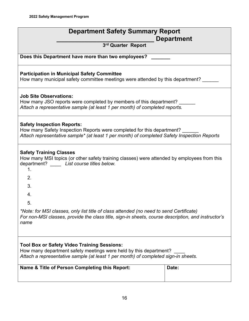| <b>Department Safety Summary Report</b>                                                                                                                                                                       |       |  |
|---------------------------------------------------------------------------------------------------------------------------------------------------------------------------------------------------------------|-------|--|
| <b>Department</b>                                                                                                                                                                                             |       |  |
| 3rd Quarter Report                                                                                                                                                                                            |       |  |
|                                                                                                                                                                                                               |       |  |
| Does this Department have more than two employees?                                                                                                                                                            |       |  |
| <b>Participation in Municipal Safety Committee</b><br>How many municipal safety committee meetings were attended by this department?                                                                          |       |  |
| <b>Job Site Observations:</b><br>How many JSO reports were completed by members of this department?<br>Attach a representative sample (at least 1 per month) of completed reports.                            |       |  |
| <b>Safety Inspection Reports:</b><br>How many Safety Inspection Reports were completed for this department?<br>Attach representative sample* (at least 1 per month) of completed Safety Inspection Reports    |       |  |
| <b>Safety Training Classes</b><br>How many MSI topics (or other safety training classes) were attended by employees from this<br>department? List course titles below.<br>1.                                  |       |  |
| 2.                                                                                                                                                                                                            |       |  |
| 3.                                                                                                                                                                                                            |       |  |
| 4.                                                                                                                                                                                                            |       |  |
| 5                                                                                                                                                                                                             |       |  |
| *Note: for MSI classes, only list title of class attended (no need to send Certificate)<br>For non-MSI classes, provide the class title, sign-in sheets, course description, and instructor's<br>name         |       |  |
|                                                                                                                                                                                                               |       |  |
| <b>Tool Box or Safety Video Training Sessions:</b><br>How many department safety meetings were held by this department?<br>Attach a representative sample (at least 1 per month) of completed sign-in sheets. |       |  |
| Name & Title of Person Completing this Report:                                                                                                                                                                | Date: |  |